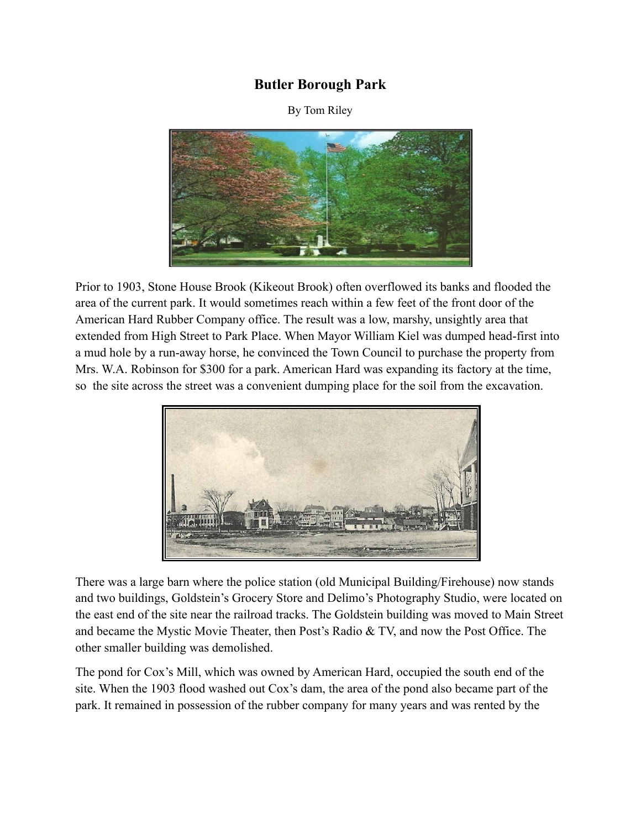## **Butler Borough Park**

By Tom Riley



Prior to 1903, Stone House Brook (Kikeout Brook) often overflowed its banks and flooded the area of the current park. It would sometimes reach within a few feet of the front door of the American Hard Rubber Company office. The result was a low, marshy, unsightly area that extended from High Street to Park Place. When Mayor William Kiel was dumped head-first into a mud hole by a run-away horse, he convinced the Town Council to purchase the property from Mrs. W.A. Robinson for \$300 for a park. American Hard was expanding its factory at the time, so the site across the street was a convenient dumping place for the soil from the excavation.



There was a large barn where the police station (old Municipal Building/Firehouse) now stands and two buildings, Goldstein's Grocery Store and Delimo's Photography Studio, were located on the east end of the site near the railroad tracks. The Goldstein building was moved to Main Street and became the Mystic Movie Theater, then Post's Radio & TV, and now the Post Office. The other smaller building was demolished.

The pond for Cox's Mill, which was owned by American Hard, occupied the south end of the site. When the 1903 flood washed out Cox's dam, the area of the pond also became part of the park. It remained in possession of the rubber company for many years and was rented by the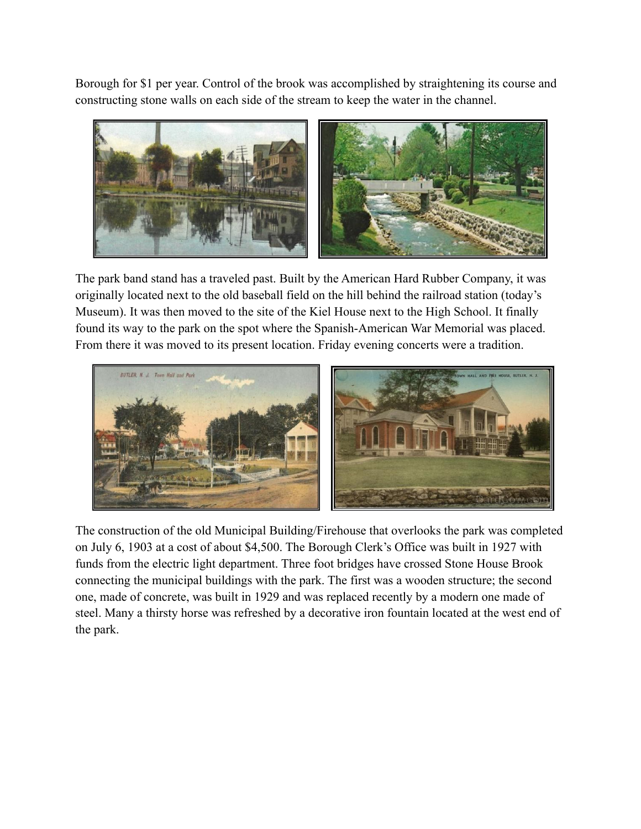Borough for \$1 per year. Control of the brook was accomplished by straightening its course and constructing stone walls on each side of the stream to keep the water in the channel.



The park band stand has a traveled past. Built by the American Hard Rubber Company, it was originally located next to the old baseball field on the hill behind the railroad station (today's Museum). It was then moved to the site of the Kiel House next to the High School. It finally found its way to the park on the spot where the Spanish-American War Memorial was placed. From there it was moved to its present location. Friday evening concerts were a tradition.



The construction of the old Municipal Building/Firehouse that overlooks the park was completed on July 6, 1903 at a cost of about \$4,500. The Borough Clerk's Office was built in 1927 with funds from the electric light department. Three foot bridges have crossed Stone House Brook connecting the municipal buildings with the park. The first was a wooden structure; the second one, made of concrete, was built in 1929 and was replaced recently by a modern one made of steel. Many a thirsty horse was refreshed by a decorative iron fountain located at the west end of the park.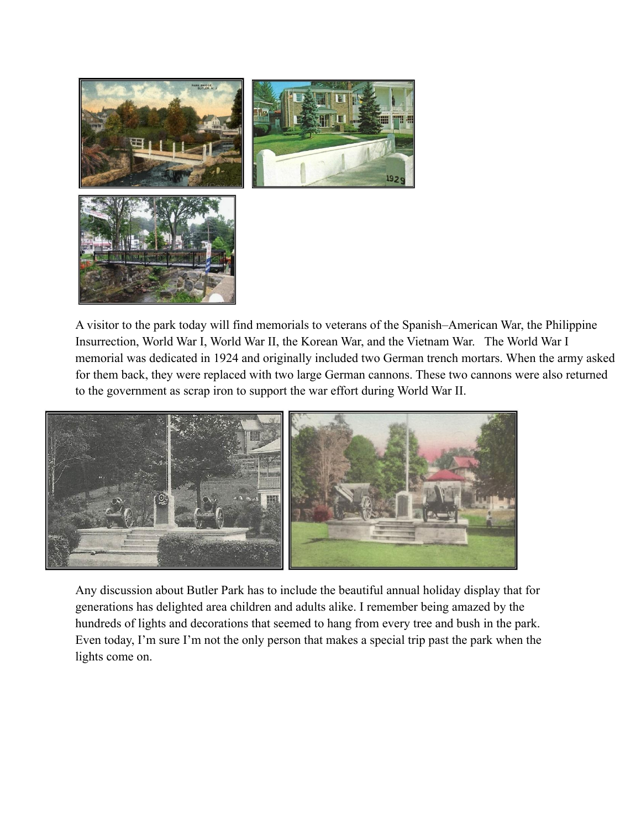

A visitor to the park today will find memorials to veterans of the Spanish–American War, the Philippine Insurrection, World War I, World War II, the Korean War, and the Vietnam War. The World War I memorial was dedicated in 1924 and originally included two German trench mortars. When the army asked for them back, they were replaced with two large German cannons. These two cannons were also returned to the government as scrap iron to support the war effort during World War II.



Any discussion about Butler Park has to include the beautiful annual holiday display that for generations has delighted area children and adults alike. I remember being amazed by the hundreds of lights and decorations that seemed to hang from every tree and bush in the park. Even today, I'm sure I'm not the only person that makes a special trip past the park when the lights come on.